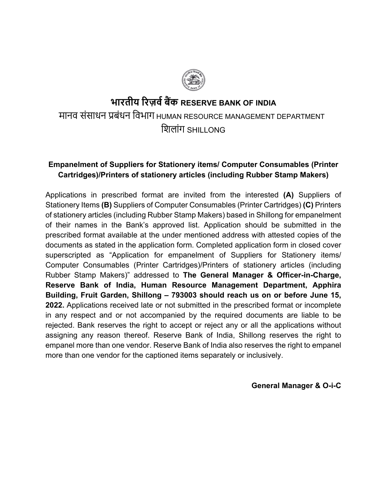## **भारतीय �रज़व� ब�क RESERVE BANK OF INDIA** मानव संसाधन प्रबंधन िवभाग HUMAN RESOURCE MANAGEMENT DEPARTMENT िशलांग SHILLONG

### **Empanelment of Suppliers for Stationery items/ Computer Consumables (Printer Cartridges)/Printers of stationery articles (including Rubber Stamp Makers)**

Applications in prescribed format are invited from the interested **(A)** Suppliers of Stationery Items **(B)** Suppliers of Computer Consumables (Printer Cartridges) **(C)** Printers of stationery articles (including Rubber Stamp Makers) based in Shillong for empanelment of their names in the Bank's approved list. Application should be submitted in the prescribed format available at the under mentioned address with attested copies of the documents as stated in the application form. Completed application form in closed cover superscripted as "Application for empanelment of Suppliers for Stationery items/ Computer Consumables (Printer Cartridges)/Printers of stationery articles (including Rubber Stamp Makers)" addressed to **The General Manager & Officer-in-Charge, Reserve Bank of India, Human Resource Management Department, Apphira Building, Fruit Garden, Shillong – 793003 should reach us on or before June 15, 2022.** Applications received late or not submitted in the prescribed format or incomplete in any respect and or not accompanied by the required documents are liable to be rejected. Bank reserves the right to accept or reject any or all the applications without assigning any reason thereof. Reserve Bank of India, Shillong reserves the right to empanel more than one vendor. Reserve Bank of India also reserves the right to empanel more than one vendor for the captioned items separately or inclusively.

#### **General Manager & O-i-C**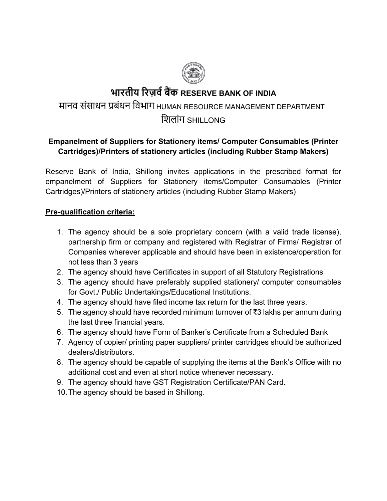

# **भारतीय �रज़व� ब�क RESERVE BANK OF INDIA**

# मानव संसाधन प्रबंधन िवभाग HUMAN RESOURCE MANAGEMENT DEPARTMENT

## िशलांग SHILLONG

## **Empanelment of Suppliers for Stationery items/ Computer Consumables (Printer Cartridges)/Printers of stationery articles (including Rubber Stamp Makers)**

Reserve Bank of India, Shillong invites applications in the prescribed format for empanelment of Suppliers for Stationery items/Computer Consumables (Printer Cartridges)/Printers of stationery articles (including Rubber Stamp Makers)

### **Pre-qualification criteria:**

- 1. The agency should be a sole proprietary concern (with a valid trade license), partnership firm or company and registered with Registrar of Firms/ Registrar of Companies wherever applicable and should have been in existence/operation for not less than 3 years
- 2. The agency should have Certificates in support of all Statutory Registrations
- 3. The agency should have preferably supplied stationery/ computer consumables for Govt./ Public Undertakings/Educational Institutions.
- 4. The agency should have filed income tax return for the last three years.
- 5. The agency should have recorded minimum turnover of ₹3 lakhs per annum during the last three financial years.
- 6. The agency should have Form of Banker's Certificate from a Scheduled Bank
- 7. Agency of copier/ printing paper suppliers/ printer cartridges should be authorized dealers/distributors.
- 8. The agency should be capable of supplying the items at the Bank's Office with no additional cost and even at short notice whenever necessary.
- 9. The agency should have GST Registration Certificate/PAN Card.
- 10.The agency should be based in Shillong.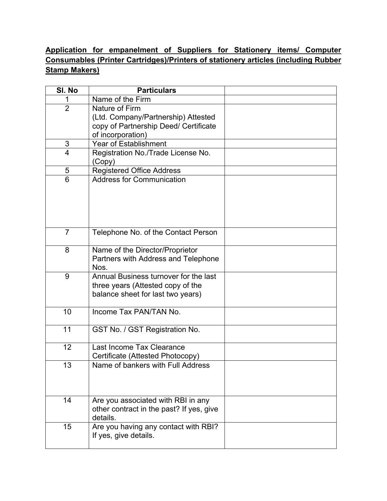### **Application for empanelment of Suppliers for Stationery items/ Computer Consumables (Printer Cartridges)/Printers of stationery articles (including Rubber Stamp Makers)**

| SI. No         | <b>Particulars</b>                                                                                                  |  |
|----------------|---------------------------------------------------------------------------------------------------------------------|--|
|                | Name of the Firm                                                                                                    |  |
| $\overline{2}$ | Nature of Firm<br>(Ltd. Company/Partnership) Attested<br>copy of Partnership Deed/ Certificate<br>of incorporation) |  |
| $\mathfrak{S}$ | <b>Year of Establishment</b>                                                                                        |  |
| $\overline{4}$ | Registration No./Trade License No.<br>(Copy)                                                                        |  |
| $\sqrt{5}$     | Registered Office Address                                                                                           |  |
| 6              | <b>Address for Communication</b>                                                                                    |  |
| $\overline{7}$ | Telephone No. of the Contact Person                                                                                 |  |
| 8              | Name of the Director/Proprietor<br>Partners with Address and Telephone<br>Nos.                                      |  |
| 9              | Annual Business turnover for the last<br>three years (Attested copy of the<br>balance sheet for last two years)     |  |
| 10             | Income Tax PAN/TAN No.                                                                                              |  |
| 11             | GST No. / GST Registration No.                                                                                      |  |
| 12             | Last Income Tax Clearance<br>Certificate (Attested Photocopy)                                                       |  |
| 13             | Name of bankers with Full Address                                                                                   |  |
| 14             | Are you associated with RBI in any<br>other contract in the past? If yes, give<br>details.                          |  |
| 15             | Are you having any contact with RBI?<br>If yes, give details.                                                       |  |